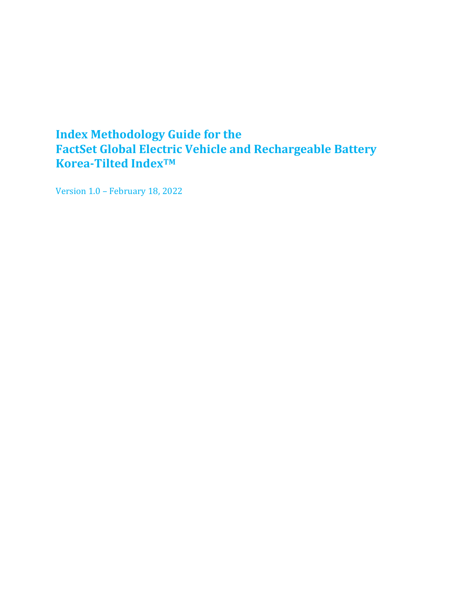## <span id="page-0-0"></span>**Index Methodology Guide for the FactSet Global Electric Vehicle and Rechargeable Battery Korea-Tilted IndexTM**

Version 1.0 – February 18, 2022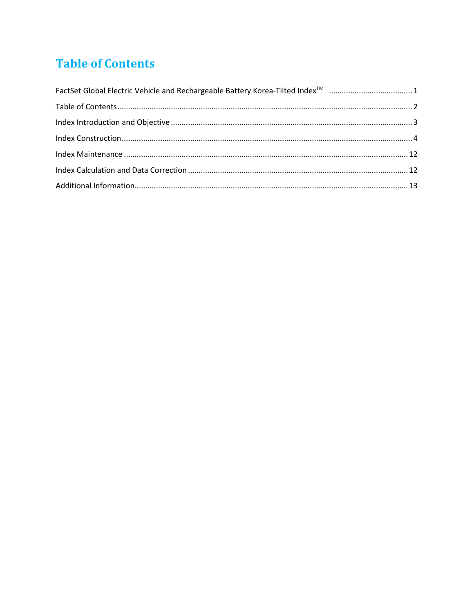# <span id="page-1-0"></span>**Table of Contents**

<span id="page-1-1"></span>

| FactSet Global Electric Vehicle and Rechargeable Battery Korea-Tilted Index <sup>™</sup> 1 |  |
|--------------------------------------------------------------------------------------------|--|
|                                                                                            |  |
|                                                                                            |  |
|                                                                                            |  |
|                                                                                            |  |
|                                                                                            |  |
|                                                                                            |  |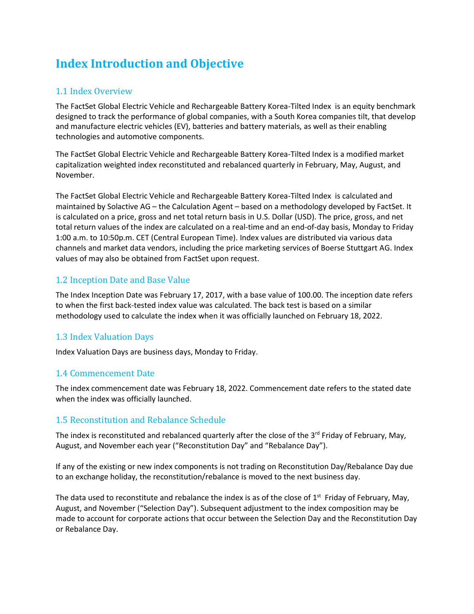# **Index Introduction and Objective**

## 1.1 Index Overview

The FactSet Global Electric Vehicle and Rechargeable Battery Korea-Tilted Index is an equity benchmark designed to track the performance of global companies, with a South Korea companies tilt, that develop and manufacture electric vehicles (EV), batteries and battery materials, as well as their enabling technologies and automotive components.

The FactSet Global Electric Vehicle and Rechargeable Battery Korea-Tilted Index is a modified market capitalization weighted index reconstituted and rebalanced quarterly in February, May, August, and November.

The FactSet Global Electric Vehicle and Rechargeable Battery Korea-Tilted Index is calculated and maintained by Solactive AG – the Calculation Agent – based on a methodology developed by FactSet. It is calculated on a price, gross and net total return basis in U.S. Dollar (USD). The price, gross, and net total return values of the index are calculated on a real-time and an end-of-day basis, Monday to Friday 1:00 a.m. to 10:50p.m. CET (Central European Time). Index values are distributed via various data channels and market data vendors, including the price marketing services of Boerse Stuttgart AG. Index values of may also be obtained from FactSet upon request.

## 1.2 Inception Date and Base Value

The Index Inception Date was February 17, 2017, with a base value of 100.00. The inception date refers to when the first back-tested index value was calculated. The back test is based on a similar methodology used to calculate the index when it was officially launched on February 18, 2022.

## 1.3 Index Valuation Days

Index Valuation Days are business days, Monday to Friday.

## 1.4 Commencement Date

The index commencement date was February 18, 2022. Commencement date refers to the stated date when the index was officially launched.

## 1.5 Reconstitution and Rebalance Schedule

The index is reconstituted and rebalanced quarterly after the close of the 3<sup>rd</sup> Friday of February, May, August, and November each year ("Reconstitution Day" and "Rebalance Day").

If any of the existing or new index components is not trading on Reconstitution Day/Rebalance Day due to an exchange holiday, the reconstitution/rebalance is moved to the next business day.

The data used to reconstitute and rebalance the index is as of the close of  $1<sup>st</sup>$  Friday of February, May, August, and November ("Selection Day"). Subsequent adjustment to the index composition may be made to account for corporate actions that occur between the Selection Day and the Reconstitution Day or Rebalance Day.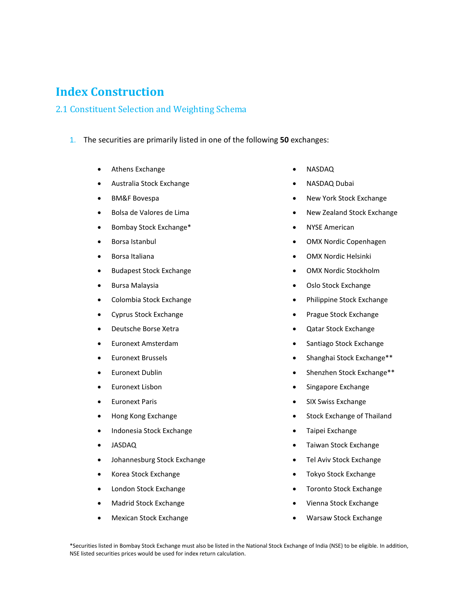## <span id="page-3-0"></span>**Index Construction**

#### 2.1 Constituent Selection and Weighting Schema

- 1. The securities are primarily listed in one of the following **50** exchanges:
	- Athens Exchange
	- Australia Stock Exchange
	- BM&F Bovespa
	- Bolsa de Valores de Lima
	- Bombay Stock Exchange\*
	- Borsa Istanbul
	- Borsa Italiana
	- Budapest Stock Exchange
	- Bursa Malaysia
	- Colombia Stock Exchange
	- Cyprus Stock Exchange
	- Deutsche Borse Xetra
	- Euronext Amsterdam
	- Euronext Brussels
	- Euronext Dublin
	- Euronext Lisbon
	- Euronext Paris
	- Hong Kong Exchange
	- Indonesia Stock Exchange
	- JASDAQ
	- Johannesburg Stock Exchange
	- Korea Stock Exchange
	- London Stock Exchange
	- Madrid Stock Exchange
	- Mexican Stock Exchange
- NASDAQ
- NASDAQ Dubai
- New York Stock Exchange
- New Zealand Stock Exchange
- NYSE American
- OMX Nordic Copenhagen
- OMX Nordic Helsinki
- OMX Nordic Stockholm
- Oslo Stock Exchange
- Philippine Stock Exchange
- Prague Stock Exchange
- Qatar Stock Exchange
- Santiago Stock Exchange
- Shanghai Stock Exchange\*\*
- Shenzhen Stock Exchange\*\*
- Singapore Exchange
- SIX Swiss Exchange
- Stock Exchange of Thailand
- Taipei Exchange
- Taiwan Stock Exchange
- Tel Aviv Stock Exchange
- Tokyo Stock Exchange
- Toronto Stock Exchange
- Vienna Stock Exchange
- Warsaw Stock Exchange

\*Securities listed in Bombay Stock Exchange must also be listed in the National Stock Exchange of India (NSE) to be eligible. In addition, NSE listed securities prices would be used for index return calculation.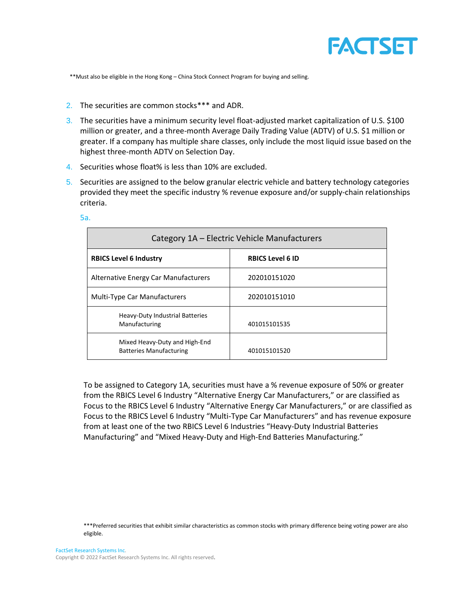

\*\*Must also be eligible in the Hong Kong – China Stock Connect Program for buying and selling.

- 2. The securities are common stocks\*\*\* and ADR.
- 3. The securities have a minimum security level float-adjusted market capitalization of U.S. \$100 million or greater, and a three-month Average Daily Trading Value (ADTV) of U.S. \$1 million or greater. If a company has multiple share classes, only include the most liquid issue based on the highest three-month ADTV on Selection Day.
- 4. Securities whose float% is less than 10% are excluded.
- 5. Securities are assigned to the below granular electric vehicle and battery technology categories provided they meet the specific industry % revenue exposure and/or supply-chain relationships criteria.

| Category 1A - Electric Vehicle Manufacturers                    |                         |  |
|-----------------------------------------------------------------|-------------------------|--|
| <b>RBICS Level 6 Industry</b>                                   | <b>RBICS Level 6 ID</b> |  |
| Alternative Energy Car Manufacturers                            | 202010151020            |  |
| <b>Multi-Type Car Manufacturers</b>                             | 202010151010            |  |
| <b>Heavy-Duty Industrial Batteries</b><br>Manufacturing         | 401015101535            |  |
| Mixed Heavy-Duty and High-End<br><b>Batteries Manufacturing</b> | 401015101520            |  |

5a.

To be assigned to Category 1A, securities must have a % revenue exposure of 50% or greater from the RBICS Level 6 Industry "Alternative Energy Car Manufacturers," or are classified as Focus to the RBICS Level 6 Industry "Alternative Energy Car Manufacturers," or are classified as Focus to the RBICS Level 6 Industry "Multi-Type Car Manufacturers" and has revenue exposure from at least one of the two RBICS Level 6 Industries "Heavy-Duty Industrial Batteries Manufacturing" and "Mixed Heavy-Duty and High-End Batteries Manufacturing."

\*\*\*Preferred securities that exhibit similar characteristics as common stocks with primary difference being voting power are also eligible.

FactSet Research Systems Inc. Copyright © 2022 FactSet Research Systems Inc. All rights reserved.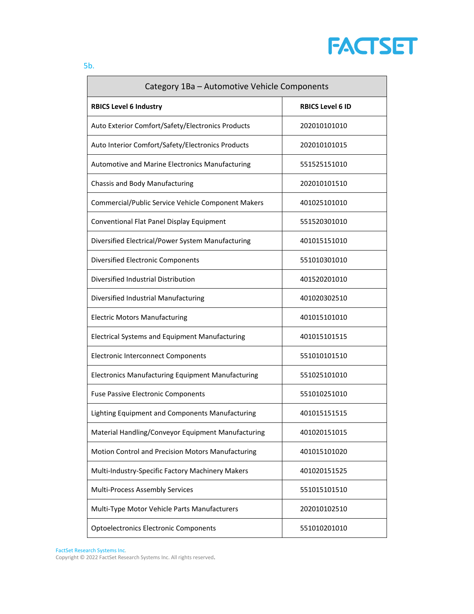

| Category 1Ba - Automotive Vehicle Components             |                         |
|----------------------------------------------------------|-------------------------|
| <b>RBICS Level 6 Industry</b>                            | <b>RBICS Level 6 ID</b> |
| Auto Exterior Comfort/Safety/Electronics Products        | 202010101010            |
| Auto Interior Comfort/Safety/Electronics Products        | 202010101015            |
| Automotive and Marine Electronics Manufacturing          | 551525151010            |
| Chassis and Body Manufacturing                           | 202010101510            |
| Commercial/Public Service Vehicle Component Makers       | 401025101010            |
| Conventional Flat Panel Display Equipment                | 551520301010            |
| Diversified Electrical/Power System Manufacturing        | 401015151010            |
| <b>Diversified Electronic Components</b>                 | 551010301010            |
| Diversified Industrial Distribution                      | 401520201010            |
| Diversified Industrial Manufacturing                     | 401020302510            |
| <b>Electric Motors Manufacturing</b>                     | 401015101010            |
| <b>Electrical Systems and Equipment Manufacturing</b>    | 401015101515            |
| <b>Electronic Interconnect Components</b>                | 551010101510            |
| <b>Electronics Manufacturing Equipment Manufacturing</b> | 551025101010            |
| <b>Fuse Passive Electronic Components</b>                | 551010251010            |
| Lighting Equipment and Components Manufacturing          | 401015151515            |
| Material Handling/Conveyor Equipment Manufacturing       | 401020151015            |
| Motion Control and Precision Motors Manufacturing        | 401015101020            |
| Multi-Industry-Specific Factory Machinery Makers         | 401020151525            |
| <b>Multi-Process Assembly Services</b>                   | 551015101510            |
| Multi-Type Motor Vehicle Parts Manufacturers             | 202010102510            |
| <b>Optoelectronics Electronic Components</b>             | 551010201010            |

FactSet Research Systems Inc.

Copyright © 2022 FactSet Research Systems Inc. All rights reserved.

5b.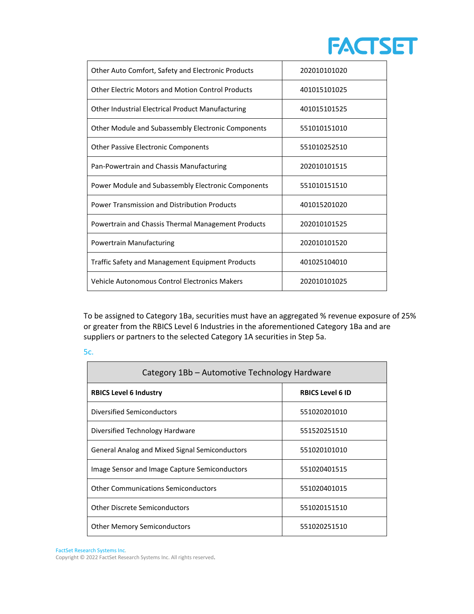

| Other Auto Comfort, Safety and Electronic Products       | 202010101020 |
|----------------------------------------------------------|--------------|
| <b>Other Electric Motors and Motion Control Products</b> | 401015101025 |
| Other Industrial Electrical Product Manufacturing        | 401015101525 |
| Other Module and Subassembly Electronic Components       | 551010151010 |
| <b>Other Passive Electronic Components</b>               | 551010252510 |
| Pan-Powertrain and Chassis Manufacturing                 | 202010101515 |
| Power Module and Subassembly Electronic Components       | 551010151510 |
| Power Transmission and Distribution Products             | 401015201020 |
| Powertrain and Chassis Thermal Management Products       | 202010101525 |
| Powertrain Manufacturing                                 | 202010101520 |
| <b>Traffic Safety and Management Equipment Products</b>  | 401025104010 |
| Vehicle Autonomous Control Electronics Makers            | 202010101025 |

To be assigned to Category 1Ba, securities must have an aggregated % revenue exposure of 25% or greater from the RBICS Level 6 Industries in the aforementioned Category 1Ba and are suppliers or partners to the selected Category 1A securities in Step 5a.

|    | .,  |
|----|-----|
|    |     |
|    |     |
|    |     |
| ۰, |     |
| ٠  | M.  |
| ×  | . . |
|    |     |

| Category 1Bb - Automotive Technology Hardware         |                         |
|-------------------------------------------------------|-------------------------|
| <b>RBICS Level 6 Industry</b>                         | <b>RBICS Level 6 ID</b> |
| Diversified Semiconductors                            | 551020201010            |
| Diversified Technology Hardware                       | 551520251510            |
| <b>General Analog and Mixed Signal Semiconductors</b> | 551020101010            |
| Image Sensor and Image Capture Semiconductors         | 551020401515            |
| <b>Other Communications Semiconductors</b>            | 551020401015            |
| <b>Other Discrete Semiconductors</b>                  | 551020151510            |
| <b>Other Memory Semiconductors</b>                    | 551020251510            |

FactSet Research Systems Inc.

Copyright © 2022 FactSet Research Systems Inc. All rights reserved.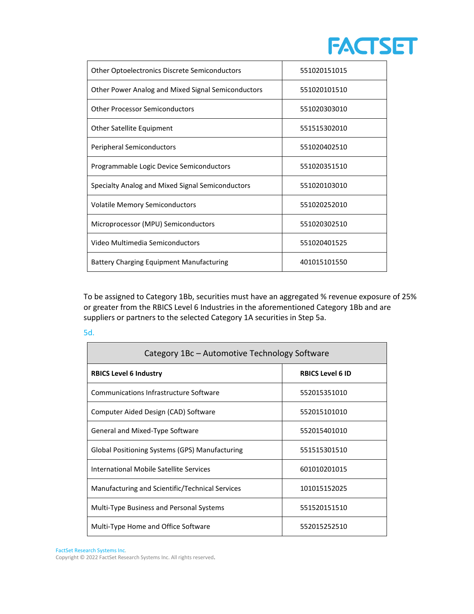

| <b>Other Optoelectronics Discrete Semiconductors</b> | 551020151015 |
|------------------------------------------------------|--------------|
| Other Power Analog and Mixed Signal Semiconductors   | 551020101510 |
| <b>Other Processor Semiconductors</b>                | 551020303010 |
| Other Satellite Equipment                            | 551515302010 |
| Peripheral Semiconductors                            | 551020402510 |
| Programmable Logic Device Semiconductors             | 551020351510 |
| Specialty Analog and Mixed Signal Semiconductors     | 551020103010 |
| <b>Volatile Memory Semiconductors</b>                | 551020252010 |
| Microprocessor (MPU) Semiconductors                  | 551020302510 |
| Video Multimedia Semiconductors                      | 551020401525 |
| <b>Battery Charging Equipment Manufacturing</b>      | 401015101550 |

To be assigned to Category 1Bb, securities must have an aggregated % revenue exposure of 25% or greater from the RBICS Level 6 Industries in the aforementioned Category 1Bb and are suppliers or partners to the selected Category 1A securities in Step 5a.

5d.

| Category 1Bc – Automotive Technology Software   |                         |
|-------------------------------------------------|-------------------------|
| <b>RBICS Level 6 Industry</b>                   | <b>RBICS Level 6 ID</b> |
| Communications Infrastructure Software          | 552015351010            |
| Computer Aided Design (CAD) Software            | 552015101010            |
| General and Mixed-Type Software                 | 552015401010            |
| Global Positioning Systems (GPS) Manufacturing  | 551515301510            |
| International Mobile Satellite Services         | 601010201015            |
| Manufacturing and Scientific/Technical Services | 101015152025            |
| <b>Multi-Type Business and Personal Systems</b> | 551520151510            |
| Multi-Type Home and Office Software             | 552015252510            |

FactSet Research Systems Inc.

Copyright © 2022 FactSet Research Systems Inc. All rights reserved.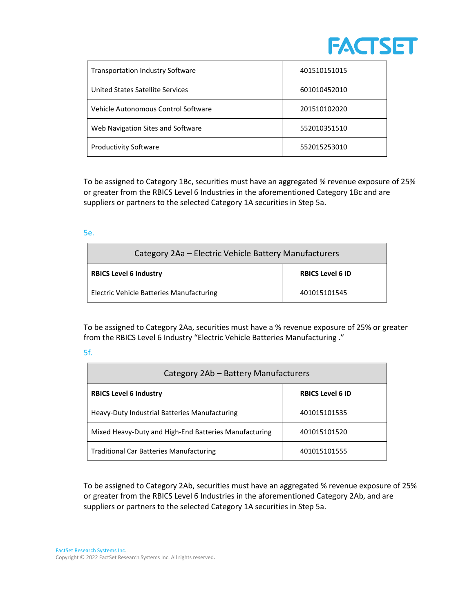

| <b>Transportation Industry Software</b> | 401510151015 |
|-----------------------------------------|--------------|
| <b>United States Satellite Services</b> | 601010452010 |
| Vehicle Autonomous Control Software     | 201510102020 |
| Web Navigation Sites and Software       | 552010351510 |
| <b>Productivity Software</b>            | 552015253010 |

To be assigned to Category 1Bc, securities must have an aggregated % revenue exposure of 25% or greater from the RBICS Level 6 Industries in the aforementioned Category 1Bc and are suppliers or partners to the selected Category 1A securities in Step 5a.

5e.

| Category 2Aa - Electric Vehicle Battery Manufacturers |                         |
|-------------------------------------------------------|-------------------------|
| <b>RBICS Level 6 Industry</b>                         | <b>RBICS Level 6 ID</b> |
| Electric Vehicle Batteries Manufacturing              | 401015101545            |

To be assigned to Category 2Aa, securities must have a % revenue exposure of 25% or greater from the RBICS Level 6 Industry "Electric Vehicle Batteries Manufacturing ."

#### 5f.

| Category 2Ab - Battery Manufacturers                  |                         |  |
|-------------------------------------------------------|-------------------------|--|
| <b>RBICS Level 6 Industry</b>                         | <b>RBICS Level 6 ID</b> |  |
| Heavy-Duty Industrial Batteries Manufacturing         | 401015101535            |  |
| Mixed Heavy-Duty and High-End Batteries Manufacturing | 401015101520            |  |
| <b>Traditional Car Batteries Manufacturing</b>        | 401015101555            |  |

To be assigned to Category 2Ab, securities must have an aggregated % revenue exposure of 25% or greater from the RBICS Level 6 Industries in the aforementioned Category 2Ab, and are suppliers or partners to the selected Category 1A securities in Step 5a.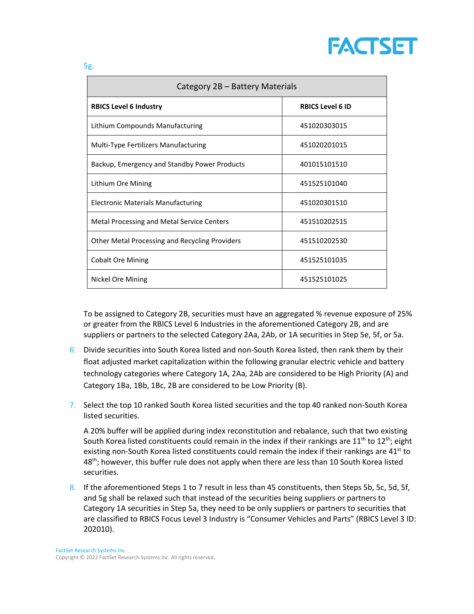

| Category 2B - Battery Materials                |                         |
|------------------------------------------------|-------------------------|
| <b>RBICS Level 6 Industry</b>                  | <b>RBICS Level 6 ID</b> |
| Lithium Compounds Manufacturing                | 451020303015            |
| <b>Multi-Type Fertilizers Manufacturing</b>    | 451020201015            |
| Backup, Emergency and Standby Power Products   | 401015101510            |
| Lithium Ore Mining                             | 451525101040            |
| <b>Electronic Materials Manufacturing</b>      | 451020301510            |
| Metal Processing and Metal Service Centers     | 451510202515            |
| Other Metal Processing and Recycling Providers | 451510202530            |
| <b>Cobalt Ore Mining</b>                       | 451525101035            |
| Nickel Ore Mining                              | 451525101025            |

To be assigned to Category 2B, securities must have an aggregated % revenue exposure of 25% or greater from the RBICS Level 6 Industries in the aforementioned Category 2B, and are suppliers or partners to the selected Category 2Aa, 2Ab, or 1A securities in Step 5e, 5f, or 5a.

- 6. Divide securities into South Korea listed and non-South Korea listed, then rank them by their float adjusted market capitalization within the following granular electric vehicle and battery technology categories where Category 1A, 2Aa, 2Ab are considered to be High Priority (A) and Category 1Ba, 1Bb, 1Bc, 2B are considered to be Low Priority (B).
- 7. Select the top 10 ranked South Korea listed securities and the top 40 ranked non-South Korea listed securities.

A 20% buffer will be applied during index reconstitution and rebalance, such that two existing South Korea listed constituents could remain in the index if their rankings are  $11<sup>th</sup>$  to  $12<sup>th</sup>$ ; eight existing non-South Korea listed constituents could remain the index if their rankings are 41<sup>st</sup> to 48<sup>th</sup>; however, this buffer rule does not apply when there are less than 10 South Korea listed securities.

8. If the aforementioned Steps 1 to 7 result in less than 45 constituents, then Steps 5b, 5c, 5d, 5f, and 5g shall be relaxed such that instead of the securities being suppliers or partners to Category 1A securities in Step 5a, they need to be only suppliers or partners to securities that are classified to RBICS Focus Level 3 Industry is "Consumer Vehicles and Parts" (RBICS Level 3 ID: 202010).

5g.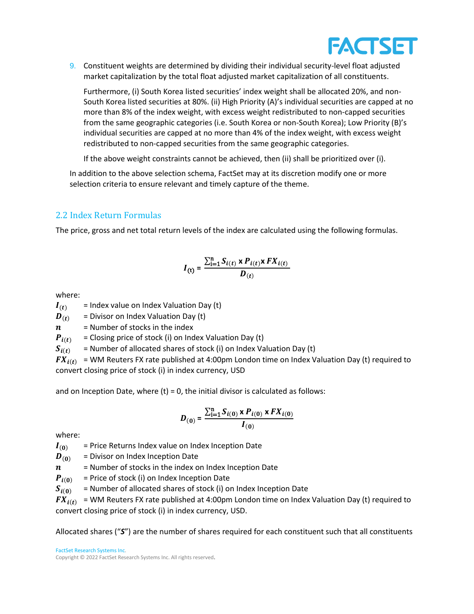

9. Constituent weights are determined by dividing their individual security-level float adjusted market capitalization by the total float adjusted market capitalization of all constituents.

Furthermore, (i) South Korea listed securities' index weight shall be allocated 20%, and non-South Korea listed securities at 80%. (ii) High Priority (A)'s individual securities are capped at no more than 8% of the index weight, with excess weight redistributed to non-capped securities from the same geographic categories (i.e. South Korea or non-South Korea); Low Priority (B)'s individual securities are capped at no more than 4% of the index weight, with excess weight redistributed to non-capped securities from the same geographic categories.

If the above weight constraints cannot be achieved, then (ii) shall be prioritized over (i).

In addition to the above selection schema, FactSet may at its discretion modify one or more selection criteria to ensure relevant and timely capture of the theme.

## 2.2 Index Return Formulas

The price, gross and net total return levels of the index are calculated using the following formulas.

$$
I_{(t)} = \frac{\sum_{i=1}^{n} S_{i(t)} \times P_{i(t)} \times FX_{i(t)}}{D_{(t)}}
$$

where:

 $I(t)$  = Index value on Index Valuation Day (t)

 $\boldsymbol{D}_{(t)}$  = Divisor on Index Valuation Day (t)

 $n =$  Number of stocks in the index

 $P_{i(t)}$  = Closing price of stock (i) on Index Valuation Day (t)

 $S_{i(t)}$  = Number of allocated shares of stock (i) on Index Valuation Day (t)

 $FX_{i(t)}$  = WM Reuters FX rate published at 4:00pm London time on Index Valuation Day (t) required to convert closing price of stock (i) in index currency, USD

and on Inception Date, where  $(t) = 0$ , the initial divisor is calculated as follows:

$$
D_{(0)} = \frac{\sum_{i=1}^{n} S_{i(0)} \times P_{i(0)} \times FX_{i(0)}}{I_{(0)}}
$$

where:

 $I_{(0)}$  = Price Returns Index value on Index Inception Date

 $\boldsymbol{D}_{(0)}$  = Divisor on Index Inception Date

 $n =$  Number of stocks in the index on Index Inception Date

 $P_{i(0)}$  = Price of stock (i) on Index Inception Date

 $S_{i(0)}$  = Number of allocated shares of stock (i) on Index Inception Date

 $FX_{i(t)}$  = WM Reuters FX rate published at 4:00pm London time on Index Valuation Day (t) required to convert closing price of stock (i) in index currency, USD.

Allocated shares ("*S*") are the number of shares required for each constituent such that all constituents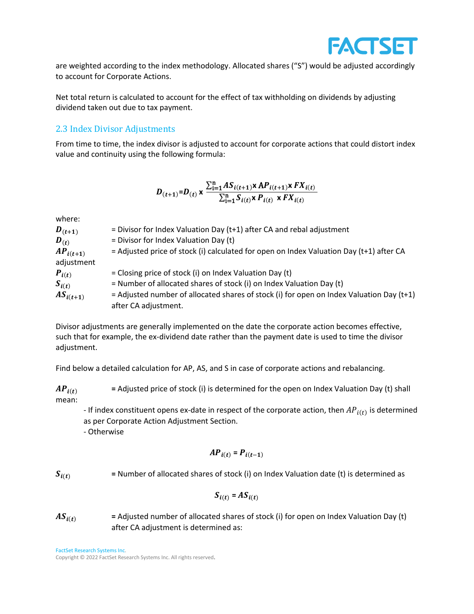

are weighted according to the index methodology. Allocated shares ("S") would be adjusted accordingly to account for Corporate Actions.

Net total return is calculated to account for the effect of tax withholding on dividends by adjusting dividend taken out due to tax payment.

#### 2.3 Index Divisor Adjustments

From time to time, the index divisor is adjusted to account for corporate actions that could distort index value and continuity using the following formula:

$$
D_{(t+1)}=D_{(t)} \times \frac{\sum_{i=1}^{n} AS_{i(t+1)} \times AP_{i(t+1)} \times FX_{i(t)}}{\sum_{i=1}^{n} S_{i(t)} \times P_{i(t)} \times FX_{i(t)}}
$$

where:

| $\bm{D}_{(t+1)}$ | = Divisor for Index Valuation Day ( $t+1$ ) after CA and rebal adjustment                  |
|------------------|--------------------------------------------------------------------------------------------|
| $\bm{D}_{(t)}$   | = Divisor for Index Valuation Day (t)                                                      |
| $AP_{i(t+1)}$    | $=$ Adjusted price of stock (i) calculated for open on Index Valuation Day (t+1) after CA  |
| adjustment       |                                                                                            |
| $P_{i(t)}$       | $=$ Closing price of stock (i) on Index Valuation Day (t)                                  |
| $S_{i(t)}$       | = Number of allocated shares of stock (i) on Index Valuation Day (t)                       |
| $AS_{i(t+1)}$    | $=$ Adjusted number of allocated shares of stock (i) for open on Index Valuation Day (t+1) |
|                  | after CA adjustment.                                                                       |

Divisor adjustments are generally implemented on the date the corporate action becomes effective, such that for example, the ex-dividend date rather than the payment date is used to time the divisor adjustment.

Find below a detailed calculation for AP, AS, and S in case of corporate actions and rebalancing.

 $AP_{i(t)}$  = Adjusted price of stock (i) is determined for the open on Index Valuation Day (t) shall mean:

- If index constituent opens ex-date in respect of the corporate action, then  $AP_{i(t)}$  is determined as per Corporate Action Adjustment Section.

- Otherwise

$$
AP_{i(t)} = P_{i(t-1)}
$$

 $S_{i(t)}$  = Number of allocated shares of stock (i) on Index Valuation date (t) is determined as

$$
S_{i(t)} = AS_{i(t)}
$$

 $AS_{i(t)}$  = Adjusted number of allocated shares of stock (i) for open on Index Valuation Day (t) after CA adjustment is determined as:

FactSet Research Systems Inc.

Copyright © 2022 FactSet Research Systems Inc. All rights reserved.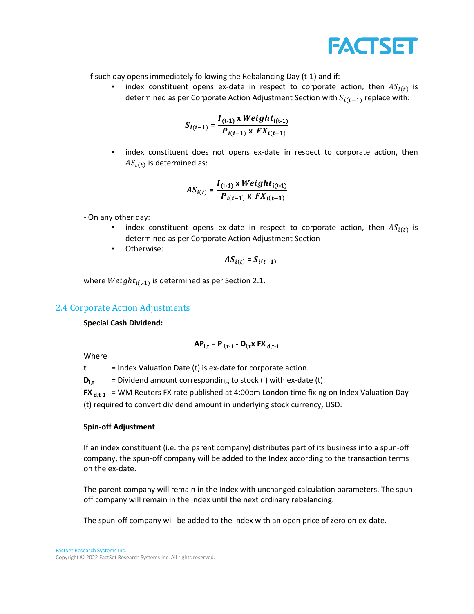

- If such day opens immediately following the Rebalancing Day (t-1) and if:

• index constituent opens ex-date in respect to corporate action, then  $AS_{i(t)}$  is determined as per Corporate Action Adjustment Section with  $S_{i(t-1)}$  replace with:

$$
S_{i(t-1)} = \frac{I_{(t-1)} \times Weight_{i(t-1)}}{P_{i(t-1)} \times FX_{i(t-1)}}
$$

• index constituent does not opens ex-date in respect to corporate action, then  $AS_{i(t)}$  is determined as:

$$
AS_{i(t)} = \frac{I_{(t-1)} \times Weight_{i(t-1)}}{P_{i(t-1)} \times FX_{i(t-1)}}
$$

- On any other day:
	- index constituent opens ex-date in respect to corporate action, then  $AS_{i(t)}$  is determined as per Corporate Action Adjustment Section
	- Otherwise:

$$
AS_{i(t)} = S_{i(t-1)}
$$

where  $Weight_{i(t-1)}$  is determined as per Section 2.1.

#### 2.4 Corporate Action Adjustments

#### **Special Cash Dividend:**

$$
AP_{i,t} = P_{i,t-1} - D_{i,t}x FX_{d,t-1}
$$

Where

**t** = Index Valuation Date (t) is ex-date for corporate action.

 $D_{i,t}$  = Dividend amount corresponding to stock (i) with ex-date (t).

**FX**  $_{d,t-1}$  = WM Reuters FX rate published at 4:00pm London time fixing on Index Valuation Day (t) required to convert dividend amount in underlying stock currency, USD.

#### **Spin-off Adjustment**

If an index constituent (i.e. the parent company) distributes part of its business into a spun-off company, the spun-off company will be added to the Index according to the transaction terms on the ex-date.

The parent company will remain in the Index with unchanged calculation parameters. The spunoff company will remain in the Index until the next ordinary rebalancing.

The spun-off company will be added to the Index with an open price of zero on ex-date.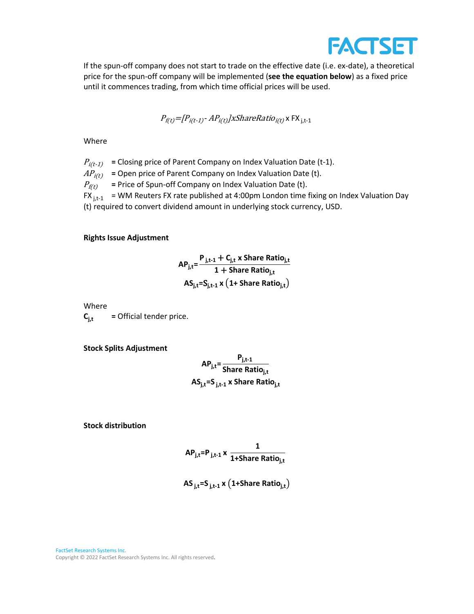

If the spun-off company does not start to trade on the effective date (i.e. ex-date), a theoretical price for the spun-off company will be implemented (**see the equation below**) as a fixed price until it commences trading, from which time official prices will be used.

$$
P_{f(t)} = [P_{i(t-1)} - AP_{i(t)}] \times Sharekatio_{i(t)} \times FX_{j,t-1}
$$

Where

 $P_{i(t-1)}$  = Closing price of Parent Company on Index Valuation Date (t-1).

 $AP_{i(t)}$  = Open price of Parent Company on Index Valuation Date (t).

 $P_{\text{f}(t)}$  = Price of Spun-off Company on Index Valuation Date (t).

 $FX_{i,t-1}$  = WM Reuters FX rate published at 4:00pm London time fixing on Index Valuation Day

(t) required to convert dividend amount in underlying stock currency, USD.

#### **Rights Issue Adjustment**

$$
AP_{j,t} = \frac{P_{j,t-1} + C_{j,t} \times \text{Share Ratio}_{j,t}}{1 + \text{Share Ratio}_{j,t}}
$$

$$
AS_{j,t} = S_{j,t-1} \times (1 + \text{Share Ratio}_{j,t})
$$

Where

 $C_{i,t}$  = Official tender price.

**Stock Splits Adjustment**

$$
AP_{j,t} = \frac{P_{j,t-1}}{\text{Share Ratio}_{j,t}}
$$

$$
AS_{j,t} = S_{j,t-1} \times \text{Share Ratio}_{j,t}
$$

**Stock distribution**

$$
\mathsf{AP}_{j,t} = \mathsf{P}_{j,t-1} \times \frac{1}{1 + \mathsf{Share Ratio}_{j,t}}
$$

<span id="page-13-0"></span>
$$
\text{AS}_{j,t} \text{=S}_{j,t-1} \text{ x } \big( \text{1+Share Ratio}_{j,t} \big)
$$

FactSet Research Systems Inc. Copyright © 2022 FactSet Research Systems Inc. All rights reserved.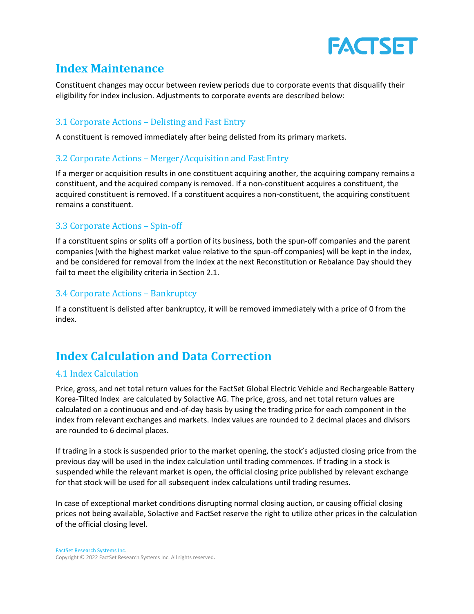

## **Index Maintenance**

Constituent changes may occur between review periods due to corporate events that disqualify their eligibility for index inclusion. Adjustments to corporate events are described below:

### 3.1 Corporate Actions – Delisting and Fast Entry

A constituent is removed immediately after being delisted from its primary markets.

### 3.2 Corporate Actions – Merger/Acquisition and Fast Entry

If a merger or acquisition results in one constituent acquiring another, the acquiring company remains a constituent, and the acquired company is removed. If a non-constituent acquires a constituent, the acquired constituent is removed. If a constituent acquires a non-constituent, the acquiring constituent remains a constituent.

### 3.3 Corporate Actions – Spin-off

If a constituent spins or splits off a portion of its business, both the spun-off companies and the parent companies (with the highest market value relative to the spun-off companies) will be kept in the index, and be considered for removal from the index at the next Reconstitution or Rebalance Day should they fail to meet the eligibility criteria in Section 2.1.

### 3.4 Corporate Actions – Bankruptcy

If a constituent is delisted after bankruptcy, it will be removed immediately with a price of 0 from the index.

## <span id="page-14-0"></span>**Index Calculation and Data Correction**

#### 4.1 Index Calculation

Price, gross, and net total return values for the FactSet Global Electric Vehicle and Rechargeable Battery Korea-Tilted Index are calculated by Solactive AG. The price, gross, and net total return values are calculated on a continuous and end-of-day basis by using the trading price for each component in the index from relevant exchanges and markets. Index values are rounded to 2 decimal places and divisors are rounded to 6 decimal places.

If trading in a stock is suspended prior to the market opening, the stock's adjusted closing price from the previous day will be used in the index calculation until trading commences. If trading in a stock is suspended while the relevant market is open, the official closing price published by relevant exchange for that stock will be used for all subsequent index calculations until trading resumes.

In case of exceptional market conditions disrupting normal closing auction, or causing official closing prices not being available, Solactive and FactSet reserve the right to utilize other prices in the calculation of the official closing level.